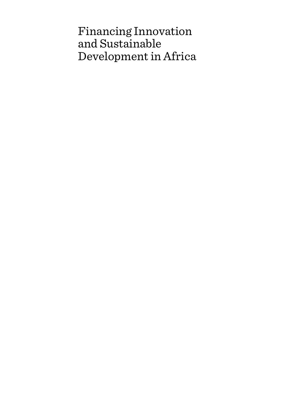# Financing Innovation and Sustainable Development in Africa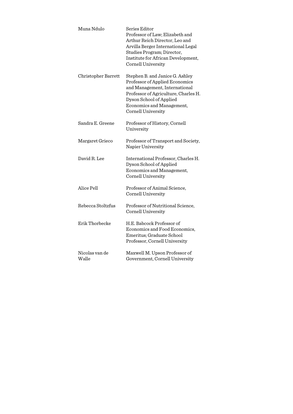| Muna Ndulo              | Series Editor<br>Professor of Law; Elizabeth and<br>Arthur Reich Director, Leo and<br>Arvilla Berger International Legal<br>Studies Program; Director,<br>Institute for African Development,<br>Cornell University       |
|-------------------------|--------------------------------------------------------------------------------------------------------------------------------------------------------------------------------------------------------------------------|
| Christopher Barrett     | Stephen B. and Janice G. Ashley<br>Professor of Applied Economics<br>and Management, International<br>Professor of Agriculture, Charles H.<br>Dyson School of Applied<br>Economics and Management,<br>Cornell University |
| Sandra E. Greene        | Professor of History, Cornell<br>University                                                                                                                                                                              |
| Margaret Grieco         | Professor of Transport and Society,<br>Napier University                                                                                                                                                                 |
| David R. Lee            | International Professor, Charles H.<br>Dyson School of Applied<br>Economics and Management,<br>Cornell University                                                                                                        |
| Alice Pell              | Professor of Animal Science,<br>Cornell University                                                                                                                                                                       |
| Rebecca Stoltzfus       | Professor of Nutritional Science,<br>Cornell University                                                                                                                                                                  |
| Erik Thorbecke          | H.E. Babcock Professor of<br>Economics and Food Economics,<br>Emeritus; Graduate School<br>Professor, Cornell University                                                                                                 |
| Nicolas van de<br>Walle | Maxwell M. Upson Professor of<br>Government, Cornell University                                                                                                                                                          |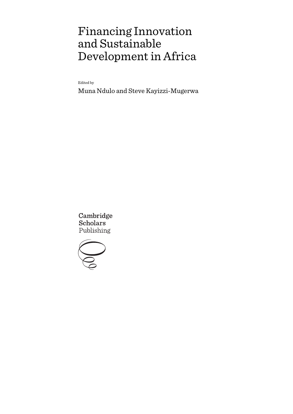# Financing Innovation and Sustainable Development in Africa

Edited by

Muna Ndulo and Steve Kayizzi-Mugerwa

Cambridge **Scholars** Publishing

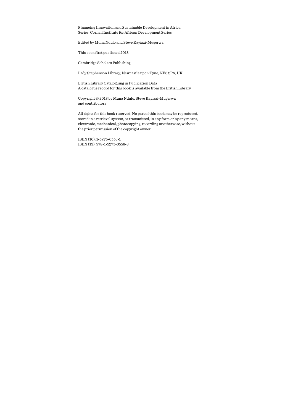Financing Innovation and Sustainable Development in Africa Series: Cornell Institute for African Development Series

Edited by Muna Ndulo and Steve Kayizzi-Mugerwa

This book first published 2018

Cambridge Scholars Publishing

Lady Stephenson Library, Newcastle upon Tyne, NE6 2PA, UK

British Library Cataloguing in Publication Data A catalogue record for this book is available from the British Library

Copyright © 2018 by Muna Ndulo, Steve Kayizzi-Mugerwa and contributors

All rights for this book reserved. No part of this book may be reproduced, stored in a retrieval system, or transmitted, in any form or by any means, electronic, mechanical, photocopying, recording or otherwise, without the prior permission of the copyright owner.

ISBN (10): 1-5275-0556-1 ISBN (13): 978-1-5275-0556-8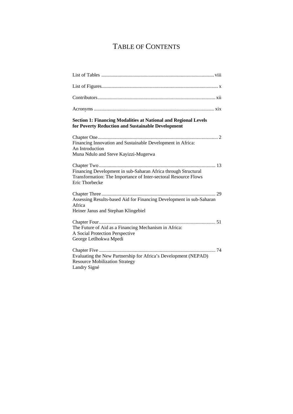# TABLE OF CONTENTS

| <b>Section 1: Financing Modalities at National and Regional Levels</b><br>for Poverty Reduction and Sustainable Development                         |
|-----------------------------------------------------------------------------------------------------------------------------------------------------|
| Financing Innovation and Sustainable Development in Africa:<br>An Introduction<br>Muna Ndulo and Steve Kayizzi-Mugerwa                              |
| Financing Development in sub-Saharan Africa through Structural<br>Transformation: The Importance of Inter-sectoral Resource Flows<br>Eric Thorbecke |
| Assessing Results-based Aid for Financing Development in sub-Saharan<br>Africa<br>Heiner Janus and Stephan Klingebiel                               |
| The Future of Aid as a Financing Mechanism in Africa:<br>A Social Protection Perspective<br>George Letlhokwa Mpedi                                  |
| Evaluating the New Partnership for Africa's Development (NEPAD)<br><b>Resource Mobilization Strategy</b><br>Landry Signé                            |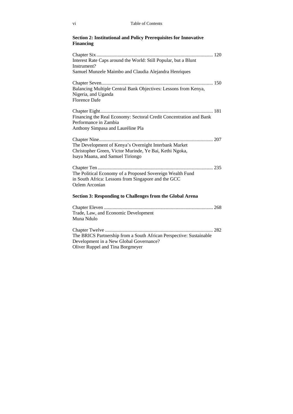#### **Section 2: Institutional and Policy Prerequisites for Innovative Financing**

| Interest Rate Caps around the World: Still Popular, but a Blunt                             |
|---------------------------------------------------------------------------------------------|
| Instrument?                                                                                 |
| Samuel Munzele Maimbo and Claudia Alejandra Henriques                                       |
|                                                                                             |
| Balancing Multiple Central Bank Objectives: Lessons from Kenya,                             |
| Nigeria, and Uganda                                                                         |
| <b>Florence Dafe</b>                                                                        |
|                                                                                             |
|                                                                                             |
| Financing the Real Economy: Sectoral Credit Concentration and Bank                          |
| Performance in Zambia                                                                       |
| Anthony Simpasa and Lauréline Pla                                                           |
|                                                                                             |
| The Development of Kenya's Overnight Interbank Market                                       |
|                                                                                             |
| Christopher Green, Victor Murinde, Ye Bai, Kethi Ngoka,<br>Isaya Maana, and Samuel Tiriongo |
|                                                                                             |
|                                                                                             |
| The Political Economy of a Proposed Sovereign Wealth Fund                                   |
| in South Africa: Lessons from Singapore and the GCC                                         |
| Ozlem Arconian                                                                              |
|                                                                                             |
| <b>Section 3: Responding to Challenges from the Global Arena</b>                            |
|                                                                                             |
| Trade, Law, and Economic Development                                                        |
| Muna Ndulo                                                                                  |
|                                                                                             |
|                                                                                             |
| The BRICS Partnership from a South African Perspective: Sustainable                         |
| Development in a New Global Governance?                                                     |
| Oliver Ruppel and Tina Borgmeyer                                                            |
|                                                                                             |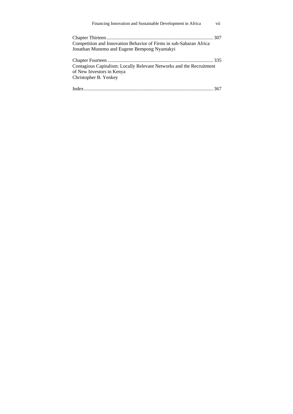| Financing Innovation and Sustainable Development in Africa                                                                 | vii |
|----------------------------------------------------------------------------------------------------------------------------|-----|
| Competition and Innovation Behavior of Firms in sub-Saharan Africa<br>Jonathan Munemo and Eugene Bempong Nyantakyi         |     |
| Contagious Capitalism: Locally Relevant Networks and the Recruitment<br>of New Investors in Kenya<br>Christopher B. Yenkey |     |
|                                                                                                                            |     |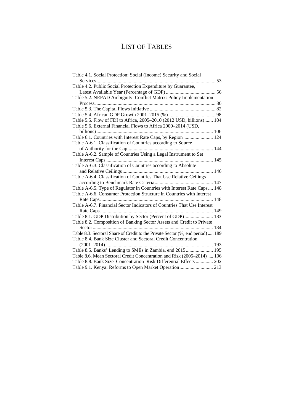# LIST OF TABLES

| Table 4.1. Social Protection: Social (Income) Security and Social              |
|--------------------------------------------------------------------------------|
| Services                                                                       |
| Table 4.2. Public Social Protection Expenditure by Guarantee,                  |
|                                                                                |
| Table 5.2. NEPAD Ambiguity-Conflict Matrix: Policy Implementation              |
|                                                                                |
|                                                                                |
|                                                                                |
| Table 5.5. Flow of FDI to Africa, 2005-2010 (2012 USD, billions) 104           |
| Table 5.6. External Financial Flows to Africa 2000-2014 (USD,                  |
|                                                                                |
| Table 6.1. Countries with Interest Rate Caps, by Region  124                   |
| Table A-6.1. Classification of Countries according to Source                   |
|                                                                                |
| Table A-6.2. Sample of Countries Using a Legal Instrument to Set               |
|                                                                                |
| Table A-6.3. Classification of Countries according to Absolute                 |
|                                                                                |
| Table A-6.4. Classification of Countries That Use Relative Ceilings            |
|                                                                                |
| Table A-6.5. Type of Regulator in Countries with Interest Rate Caps 148        |
| Table A-6.6. Consumer Protection Structure in Countries with Interest          |
|                                                                                |
| Table A-6.7. Financial Sector Indicators of Countries That Use Interest        |
|                                                                                |
| Table 8.1. GDP Distribution by Sector (Percent of GDP) 183                     |
| Table 8.2. Composition of Banking Sector Assets and Credit to Private          |
|                                                                                |
| Table 8.3. Sectoral Share of Credit to the Private Sector (%, end period)  189 |
| Table 8.4. Bank Size Cluster and Sectoral Credit Concentration                 |
|                                                                                |
|                                                                                |
| Table 8.6. Mean Sectoral Credit Concentration and Risk (2005-2014) 196         |
| Table 8.8. Bank Size-Concentration-Risk Differential Effects  202              |
|                                                                                |
|                                                                                |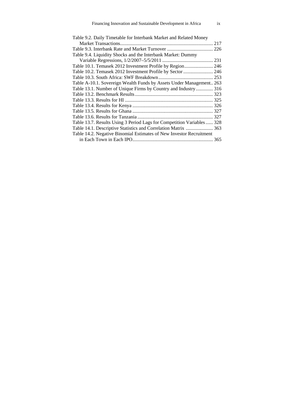| Table 9.2. Daily Timetable for Interbank Market and Related Money     |     |
|-----------------------------------------------------------------------|-----|
|                                                                       | 217 |
|                                                                       |     |
| Table 9.4. Liquidity Shocks and the Interbank Market: Dummy           |     |
|                                                                       |     |
| Table 10.1. Temasek 2012 Investment Profile by Region 246             |     |
| Table 10.2. Temasek 2012 Investment Profile by Sector  246            |     |
|                                                                       |     |
| Table A-10.1. Sovereign Wealth Funds by Assets Under Management 263   |     |
| Table 13.1. Number of Unique Firms by Country and Industry 316        |     |
|                                                                       |     |
|                                                                       |     |
|                                                                       |     |
|                                                                       |     |
|                                                                       |     |
| Table 13.7. Results Using 3 Period Lags for Competition Variables 328 |     |
| Table 14.1. Descriptive Statistics and Correlation Matrix  363        |     |
| Table 14.2. Negative Binomial Estimates of New Investor Recruitment   |     |
|                                                                       |     |
|                                                                       |     |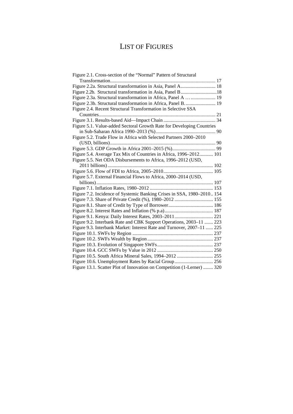# LIST OF FIGURES

| Figure 2.1. Cross-section of the "Normal" Pattern of Structural        |  |
|------------------------------------------------------------------------|--|
| Transformation                                                         |  |
| Figure 2.2a. Structural transformation in Asia, Panel A 18             |  |
|                                                                        |  |
| Figure 2.3a. Structural transformation in Africa, Panel A   19         |  |
| Figure 2.3b. Structural transformation in Africa, Panel B.  19         |  |
| Figure 2.4. Recent Structural Transformation in Selective SSA          |  |
|                                                                        |  |
|                                                                        |  |
| Figure 5.1. Value-added Sectoral Growth Rate for Developing Countries  |  |
|                                                                        |  |
| Figure 5.2. Trade Flow in Africa with Selected Partners 2000-2010      |  |
|                                                                        |  |
|                                                                        |  |
| Figure 5.4. Average Tax Mix of Countries in Africa, 1996-2012 101      |  |
| Figure 5.5. Net ODA Disbursements to Africa, 1996–2012 (USD,           |  |
|                                                                        |  |
|                                                                        |  |
| Figure 5.7. External Financial Flows to Africa, 2000–2014 (USD,        |  |
|                                                                        |  |
|                                                                        |  |
| Figure 7.2. Incidence of Systemic Banking Crises in SSA, 1980-2010 154 |  |
|                                                                        |  |
|                                                                        |  |
|                                                                        |  |
|                                                                        |  |
| Figure 9.2. Interbank Rate and CBK Support Operations, 2003–11  223    |  |
| Figure 9.3. Interbank Market: Interest Rate and Turnover, 2007–11  225 |  |
|                                                                        |  |
|                                                                        |  |
|                                                                        |  |
|                                                                        |  |
| Figure 10.5. South Africa Mineral Sales, 1994-2012  255                |  |
| Figure 10.6. Unemployment Rates by Racial Group 256                    |  |
| Figure 13.1. Scatter Plot of Innovation on Competition (1-Lerner)  320 |  |
|                                                                        |  |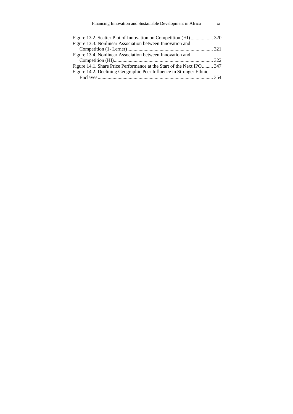| Financing Innovation and Sustainable Development in Africa            | xi |
|-----------------------------------------------------------------------|----|
|                                                                       |    |
| Figure 13.3. Nonlinear Association between Innovation and             |    |
|                                                                       |    |
| Figure 13.4. Nonlinear Association between Innovation and             |    |
|                                                                       |    |
| Figure 14.1. Share Price Performance at the Start of the Next IPO 347 |    |
| Figure 14.2. Declining Geographic Peer Influence in Stronger Ethnic   |    |
|                                                                       |    |
|                                                                       |    |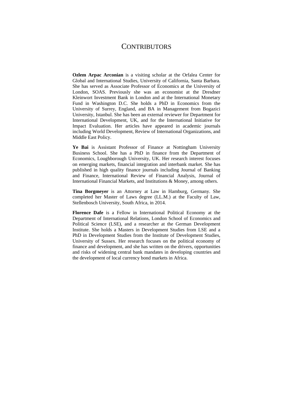### **CONTRIBUTORS**

**Ozlem Arpac Arconian** is a visiting scholar at the Orfalea Center for Global and International Studies, University of California, Santa Barbara. She has served as Associate Professor of Economics at the University of London, SOAS. Previously she was an economist at the Dresdner Kleinwort Investment Bank in London and at the International Monetary Fund in Washington D.C. She holds a PhD in Economics from the University of Surrey, England, and BA in Management from Bogazici University, Istanbul. She has been an external reviewer for Department for International Development, UK, and for the International Initiative for Impact Evaluation. Her articles have appeared in academic journals including World Development, Review of International Organizations, and Middle East Policy.

**Ye Bai** is Assistant Professor of Finance at Nottingham University Business School. She has a PhD in finance from the Department of Economics, Loughborough University, UK. Her research interest focuses on emerging markets, financial integration and interbank market. She has published in high quality finance journals including Journal of Banking and Finance, International Review of Financial Analysis, Journal of International Financial Markets, and Institutions & Money, among others.

**Tina Borgmeyer** is an Attorney at Law in Hamburg, Germany. She completed her Master of Laws degree (LL.M.) at the Faculty of Law, Stellenbosch University, South Africa, in 2014.

**Florence Dafe** is a Fellow in International Political Economy at the Department of International Relations, London School of Economics and Political Science (LSE), and a researcher at the German Development Institute. She holds a Masters in Development Studies from LSE and a PhD in Development Studies from the Institute of Development Studies, University of Sussex. Her research focuses on the political economy of finance and development, and she has written on the drivers, opportunities and risks of widening central bank mandates in developing countries and the development of local currency bond markets in Africa.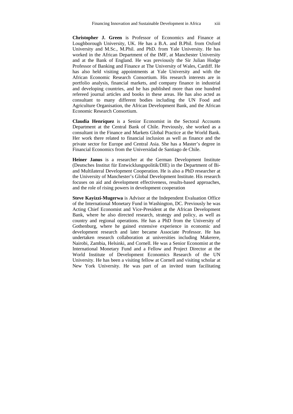**Christopher J. Green** is Professor of Economics and Finance at Loughborough University, UK. He has a B.A. and B.Phil. from Oxford University and M.Sc., M.Phil. and PhD. from Yale University. He has worked in the African Department of the IMF, at Manchester University and at the Bank of England. He was previously the Sir Julian Hodge Professor of Banking and Finance at The University of Wales, Cardiff. He has also held visiting appointments at Yale University and with the African Economic Research Consortium. His research interests are in portfolio analysis, financial markets, and company finance in industrial and developing countries, and he has published more than one hundred refereed journal articles and books in these areas. He has also acted as consultant to many different bodies including the UN Food and Agriculture Organisation, the African Development Bank, and the African Economic Research Consortium.

**Claudia Henríquez** is a Senior Economist in the Sectoral Accounts Department at the Central Bank of Chile. Previously, she worked as a consultant in the Finance and Markets Global Practice at the World Bank. Her work there related to financial inclusion as well as finance and the private sector for Europe and Central Asia. She has a Master's degree in Financial Economics from the Universidad de Santiago de Chile.

**Heiner Janus** is a researcher at the German Development Institute (Deutsches Institut für Entwicklungspolitik/DIE) in the Department of Biand Multilateral Development Cooperation. He is also a PhD researcher at the University of Manchester's Global Development Institute. His research focuses on aid and development effectiveness, results-based approaches, and the role of rising powers in development cooperation

**Steve Kayizzi-Mugerwa** is Advisor at the Independent Evaluation Office of the International Monetary Fund in Washington, DC. Previously he was Acting Chief Economist and Vice-President at the African Development Bank, where he also directed research, strategy and policy, as well as country and regional operations. He has a PhD from the University of Gothenburg, where he gained extensive experience in economic and development research and later became Associate Professor. He has undertaken research collaboration at universities including Makerere, Nairobi, Zambia, Helsinki, and Cornell. He was a Senior Economist at the International Monetary Fund and a Fellow and Project Director at the World Institute of Development Economics Research of the UN University. He has been a visiting fellow at Cornell and visiting scholar at New York University. He was part of an invited team facilitating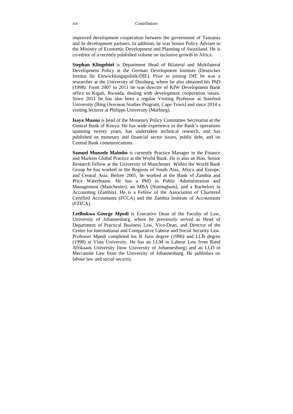improved development cooperation between the government of Tanzania and its development partners. In addition, he was Senior Policy Adviser to the Ministry of Economic Development and Planning of Swaziland. He is co-editor of a recently published volume on inclusive growth in Africa.

**Stephan Klingebiel** is Department Head of Bilateral and Multilateral Development Policy at the German Development Institute (Deutsches Institut für Entwicklungspolitik/DIE). Prior to joining DIE he was a researcher at the University of Duisburg, where he also obtained his PhD (1998). From 2007 to 2011 he was director of KfW Development Bank office in Kigali, Rwanda, dealing with development cooperation issues. Since 2011 he has also been a regular Visiting Professor at Stanford University (Bing Overseas Studies Program, Cape Town) and since 2014 a visiting lecturer at Philipps University (Marburg).

**Isaya Maana** is head of the Monetary Policy Committee Secretariat at the Central Bank of Kenya. He has wide experience in the Bank's operations spanning twenty years, has undertaken technical research, and has published on monetary and financial sector issues, public debt, and on Central Bank communications.

**Samuel Munzele Maimbo** is currently Practice Manager in the Finance and Markets Global Practice at the World Bank. He is also an Hon. Senior Research Fellow at the University of Manchester. Within the World Bank Group he has worked in the Regions of South Asia, Africa and Europe, and Central Asia. Before 2001, he worked at the Bank of Zambia and Price Waterhouse. He has a PhD in Public Administration and Management (Manchester), an MBA (Nottingham), and a Bachelors in Accounting (Zambia). He is a Fellow of the Association of Chartered Certified Accountants (FCCA) and the Zambia Institute of Accountants (FZICA).

**Letlhokwa George Mpedi** is Executive Dean of the Faculty of Law, University of Johannesburg, where he previously served as Head of Department of Practical Business Law, Vice-Dean, and Director of the Centre for International and Comparative Labour and Social Security Law. Professor Mpedi completed his B Juris degree (1996) and LLB degree (1998) at Vista University. He has an LLM in Labour Law from Rand Afrikaans University (now University of Johannesburg) and an LLD in Mercantile Law from the University of Johannesburg. He publishes on labour law and social security.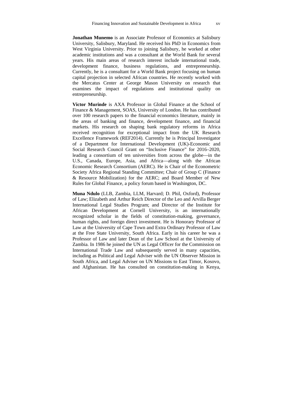**Jonathan Munemo** is an Associate Professor of Economics at Salisbury University, Salisbury, Maryland. He received his PhD in Economics from West Virginia University. Prior to joining Salisbury, he worked at other academic institutions and was a consultant at the World Bank for several years. His main areas of research interest include international trade, development finance, business regulations, and entrepreneurship. Currently, he is a consultant for a World Bank project focusing on human capital projection in selected African countries. He recently worked with the Mercatus Center at George Mason University on research that examines the impact of regulations and institutional quality on entrepreneurship.

**Victor Murinde** is AXA Professor in Global Finance at the School of Finance & Management, SOAS, University of London. He has contributed over 100 research papers to the financial economics literature, mainly in the areas of banking and finance, development finance, and financial markets. His research on shaping bank regulatory reforms in Africa received recognition for exceptional impact from the UK Research Excellence Framework (REF2014). Currently he is Principal Investigator of a Department for International Development (UK)-Economic and Social Research Council Grant on "Inclusive Finance" for 2016–2020, leading a consortium of ten universities from across the globe—in the U.S., Canada, Europe, Asia, and Africa—along with the African Economic Research Consortium (AERC). He is Chair of the Econometric Society Africa Regional Standing Committee; Chair of Group C (Finance & Resource Mobilization) for the AERC; and Board Member of New Rules for Global Finance, a policy forum based in Washington, DC.

**Muna Ndulo** (LLB, Zambia, LLM, Harvard; D. Phil, Oxford), Professor of Law; Elizabeth and Arthur Reich Director of the Leo and Arvilla Berger International Legal Studies Program; and Director of the Institute for African Development at Cornell University, is an internationally recognized scholar in the fields of constitution-making, governance, human rights, and foreign direct investment. He is Honorary Professor of Law at the University of Cape Town and Extra Ordinary Professor of Law at the Free State University, South Africa. Early in his career he was a Professor of Law and later Dean of the Law School at the University of Zambia. In 1986 he joined the UN as Legal Officer for the Commission on International Trade Law and subsequently served in many capacities, including as Political and Legal Adviser with the UN Observer Mission in South Africa, and Legal Adviser on UN Missions to East Timor, Kosovo, and Afghanistan. He has consulted on constitution-making in Kenya,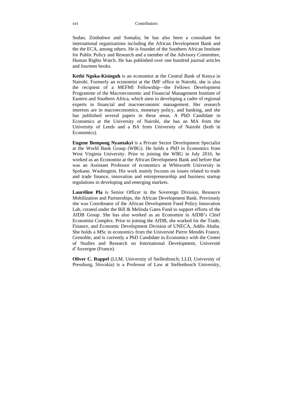Sudan, Zimbabwe and Somalia; he has also been a consultant for international organizations including the African Development Bank and the the ECA, among others. He is founder of the Southern African Institute for Public Policy and Research and a member of the Advisory Committee, Human Rights Watch. He has published over one hundred journal articles and fourteen books.

**Kethi Ngoka-Kisinguh** is an economist at the Central Bank of Kenya in Nairobi. Formerly an economist at the IMF office in Nairobi, she is also the recipient of a MEFMI Fellowship—the Fellows Development Programme of the Macroeconomic and Financial Management Institute of Eastern and Southern Africa, which aims to developing a cadre of regional experts in financial and macroeconomic management. Her research interests are in macroeconomics, monetary policy, and banking, and she has published several papers in these areas. A PhD Candidate in Economics at the University of Nairobi, she has an MA from the University of Leeds and a BA from University of Nairobi (both in Economics).

**Eugene Bempong Nyantakyi** is a Private Sector Development Specialist at the World Bank Group (WBG). He holds a PhD in Economics from West Virginia University. Prior to joining the WBG in July 2016, he worked as an Economist at the African Development Bank and before that was an Assistant Professor of economics at Whitworth University in Spokane, Washington. His work mainly focuses on issues related to trade and trade finance, innovation and entrepreneurship and business startup regulations in developing and emerging markets.

**Lauréline Pla** is Senior Officer in the Sovereign Division, Resource Mobilization and Partnerships, the African Development Bank. Previously she was Coordinator of the African Development Fund Policy Innovation Lab, created under the Bill & Melinda Gates Fund to support efforts of the AfDB Group. She has also worked as an Economist in AfDB's Chief Economist Complex. Prior to joining the AfDB, she worked for the Trade, Finance, and Economic Development Division of UNECA, Addis Ababa. She holds a MSc in economics from the Université Pierre Mendès France, Grenoble, and is currently a PhD Candidate in Economics with the Center of Studies and Research on International Development, Université d'Auvergne (France).

**Oliver C. Ruppel** (LLM, University of Stellenbosch; LLD, University of Pressburg, Slovakia) is a Professor of Law at Stellenbosch University,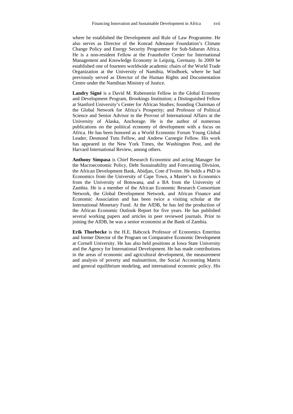where he established the Development and Rule of Law Programme. He also serves as Director of the Konrad Adenauer Foundation's Climate Change Policy and Energy Security Programme for Sub-Saharan Africa. He is a non-resident Fellow at the Fraunhofer Center for International Management and Knowledge Economy in Leipzig, Germany. In 2009 he established one of fourteen worldwide academic chairs of the World Trade Organization at the University of Namibia, Windhoek, where he had previously served as Director of the Human Rights and Documentation Centre under the Namibian Ministry of Justice.

**Landry Signé** is a David M. Rubenstein Fellow in the Global Economy and Development Program, Brookings Institution; a Distinguished Fellow at Stanford University's Center for African Studies; founding Chairman of the Global Network for Africa's Prosperity; and Professor of Political Science and Senior Advisor to the Provost of International Affairs at the University of Alaska, Anchorage. He is the author of numerous publications on the political economy of development with a focus on Africa. He has been honored as a World Economic Forum Young Global Leader, Desmond Tutu Fellow, and Andrew Carnegie Fellow. His work has appeared in the New York Times, the Washington Post, and the Harvard International Review, among others.

**Anthony Simpasa** is Chief Research Economist and acting Manager for the Macroeconomic Policy, Debt Sustainability and Forecasting Division, the African Development Bank, Abidjan, Cote d'Ivoire. He holds a PhD in Economics from the University of Cape Town, a Master's in Economics from the University of Botswana, and a BA from the University of Zambia. He is a member of the African Economic Research Consortium Network, the Global Development Network, and African Finance and Economic Association and has been twice a visiting scholar at the International Monetary Fund. At the AfDB, he has led the production of the African Economic Outlook Report for five years. He has published several working papers and articles in peer reviewed journals. Prior to joining the AfDB, he was a senior economist at the Bank of Zambia.

**Erik Thorbecke** is the H.E. Babcock Professor of Economics Emeritus and former Director of the Program on Comparative Economic Development at Cornell University. He has also held positions at Iowa State University and the Agency for International Development. He has made contributions in the areas of economic and agricultural development, the measurement and analysis of poverty and malnutrition, the Social Accounting Matrix and general equilibrium modeling, and international economic policy. His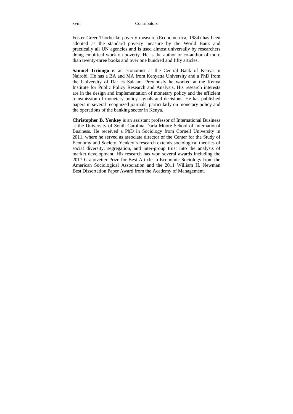Foster-Greer-Thorbecke poverty measure (Econometrica, 1984) has been adopted as the standard poverty measure by the World Bank and practically all UN agencies and is used almost universally by researchers doing empirical work on poverty. He is the author or co-author of more than twenty-three books and over one hundred and fifty articles.

**Samuel Tiriongo** is an economist at the Central Bank of Kenya in Nairobi. He has a BA and MA from Kenyatta University and a PhD from the University of Dar es Salaam. Previously he worked at the Kenya Institute for Public Policy Research and Analysis. His research interests are in the design and implementation of monetary policy and the efficient transmission of monetary policy signals and decisions. He has published papers in several recognized journals, particularly on monetary policy and the operations of the banking sector in Kenya.

**Christopher B. Yenkey** is an assistant professor of International Business at the University of South Carolina Darla Moore School of International Business. He received a PhD in Sociology from Cornell University in 2011, where he served as associate director of the Center for the Study of Economy and Society. Yenkey's research extends sociological theories of social diversity, segregation, and inter-group trust into the analysis of market development. His research has won several awards including the 2017 Granovetter Prize for Best Article in Economic Sociology from the American Sociological Association and the 2011 William H. Newman Best Dissertation Paper Award from the Academy of Management.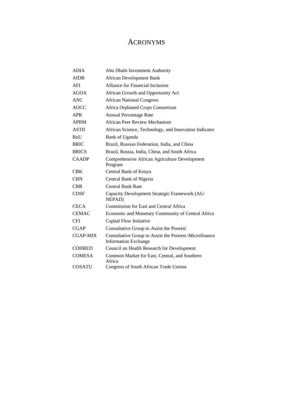## ACRONYMS

| <b>ADIA</b>   | Abu Dhabi Investment Authority                                                       |
|---------------|--------------------------------------------------------------------------------------|
| AfDB          | <b>African Development Bank</b>                                                      |
| AFI           | Alliance for Financial Inclusion                                                     |
| <b>AGOA</b>   | African Growth and Opportunity Act                                                   |
| <b>ANC</b>    | <b>African National Congress</b>                                                     |
| <b>AOCC</b>   | Africa Orphaned Crops Consortium                                                     |
| <b>APR</b>    | <b>Annual Percentage Rate</b>                                                        |
| <b>APRM</b>   | African Peer Review Mechanism                                                        |
| <b>ASTII</b>  | African Science, Technology, and Innovation Indicator                                |
| <b>BoU</b>    | Bank of Uganda                                                                       |
| <b>BRIC</b>   | Brazil, Russian Federation, India, and China                                         |
| <b>BRICS</b>  | Brazil, Russia, India, China, and South Africa                                       |
| <b>CAADP</b>  | Comprehensive African Agriculture Development<br>Program                             |
| <b>CBK</b>    | Central Bank of Kenya                                                                |
| <b>CBN</b>    | Central Bank of Nigeria                                                              |
| <b>CBR</b>    | Central Bank Rate                                                                    |
| <b>CDSF</b>   | Capacity Development Strategic Framework (AU-<br>NEPAD)                              |
| <b>CECA</b>   | <b>Commission for East and Central Africa</b>                                        |
| <b>CEMAC</b>  | Economic and Monetary Community of Central Africa                                    |
| <b>CFI</b>    | Capital Flow Initiative                                                              |
| <b>CGAP</b>   | Consultative Group to Assist the Poorest                                             |
| CGAP-MIX      | Consultative Group to Assist the Poorest-Microfinance<br><b>Information Exchange</b> |
| <b>COHRED</b> | Council on Health Research for Development                                           |
| <b>COMESA</b> | Common Market for East, Central, and Southern<br>Africa                              |
| <b>COSATU</b> | Congress of South African Trade Unions                                               |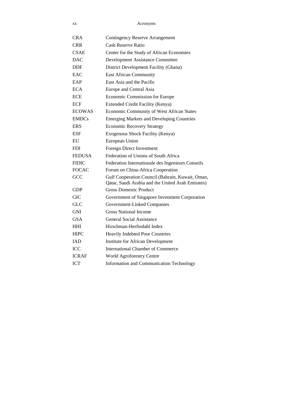xx Acronyms

| CRA           | <b>Contingency Reserve Arrangement</b>                                                                |
|---------------|-------------------------------------------------------------------------------------------------------|
| <b>CRR</b>    | Cash Reserve Ratio                                                                                    |
| <b>CSAE</b>   | Center for the Study of African Economies                                                             |
| DAC           | Development Assistance Committee                                                                      |
| DDF           | District Development Facility (Ghana)                                                                 |
| <b>EAC</b>    | <b>East African Community</b>                                                                         |
| EAP           | East Asia and the Pacific                                                                             |
| <b>ECA</b>    | Europe and Central Asia                                                                               |
| <b>ECE</b>    | Economic Commission for Europe                                                                        |
| ECF           | <b>Extended Credit Facility (Kenya)</b>                                                               |
| <b>ECOWAS</b> | Economic Community of West African States                                                             |
| <b>EMDCs</b>  | <b>Emerging Markets and Developing Countries</b>                                                      |
| <b>ERS</b>    | <b>Economic Recovery Strategy</b>                                                                     |
| ESF           | Exogenous Shock Facility (Kenya)                                                                      |
| EU            | European Union                                                                                        |
| <b>FDI</b>    | <b>Foreign Direct Investment</b>                                                                      |
| <b>FEDUSA</b> | Federation of Unions of South Africa                                                                  |
| <b>FIDIC</b>  | Federation Internationale des Ingenieurs Conseils                                                     |
| <b>FOCAC</b>  | Forum on China-Africa Cooperation                                                                     |
| GCC           | Gulf Cooperation Council (Bahrain, Kuwait, Oman,<br>Qatar, Saudi Arabia and the United Arab Emirates) |
| GDP           | <b>Gross Domestic Product</b>                                                                         |
| <b>GIC</b>    | Government of Singapore Investment Corporation                                                        |
| GLC           | Government-Linked Companies                                                                           |
| <b>GNI</b>    | <b>Gross National Income</b>                                                                          |
| <b>GSA</b>    | General Social Assistance                                                                             |
| <b>HHI</b>    | Hirschman-Herfindahl Index                                                                            |
| <b>HIPC</b>   | <b>Heavily Indebted Poor Countries</b>                                                                |
| <b>IAD</b>    | <b>Institute for African Development</b>                                                              |
| <b>ICC</b>    | International Chamber of Commerce                                                                     |
| <b>ICRAF</b>  | World Agroforestry Centre                                                                             |
| <b>ICT</b>    | Information and Communication Technology                                                              |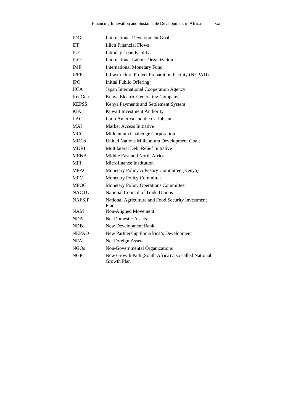| IDG              | <b>International Development Goal</b>                              |
|------------------|--------------------------------------------------------------------|
| <b>IFF</b>       | <b>Illicit Financial Flows</b>                                     |
| <b>ILF</b>       | <b>Intraday Loan Facility</b>                                      |
| ILО              | <b>International Labour Organization</b>                           |
| <b>IMF</b>       | <b>International Monetary Fund</b>                                 |
| <b>IPFF</b>      | <b>Infrastructure Project Preparation Facility (NEPAD)</b>         |
| <b>IPO</b>       | <b>Initial Public Offering</b>                                     |
| <b>JICA</b>      | Japan International Cooperation Agency                             |
| KenGen           | Kenya Electric Generating Company                                  |
| <b>KEPSS</b>     | Kenya Payments and Settlement System                               |
| <b>KIA</b>       | Kuwait Investment Authority                                        |
| LAC              | Latin America and the Caribbean                                    |
| MAI              | Market Access Initiative                                           |
| <b>MCC</b>       | Millennium Challenge Corporation                                   |
| <b>MDGs</b>      | United Nations Millennium Development Goals                        |
| <b>MDRI</b>      | Multilateral Debt Relief Initiative                                |
| <b>MENA</b>      | Middle East and North Africa                                       |
| MFI              | Microfinance Institution                                           |
| <b>MPAC</b>      | Monetary Policy Advisory Committee (Kenya)                         |
| <b>MPC</b>       | <b>Monetary Policy Committee</b>                                   |
| <b>MPOC</b>      | <b>Monetary Policy Operations Committee</b>                        |
| NACTU            | National Council of Trade Unions                                   |
| <b>NAFSIP</b>    | National Agriculture and Food Security Investment<br>Plan          |
| <b>NAM</b>       | Non-Aligned Movement                                               |
| NDA              | <b>Net Domestic Assets</b>                                         |
| <b>NDB</b>       | New Development Bank                                               |
| <b>NEPAD</b>     | New Partnership For Africa's Development                           |
| <b>NFA</b>       | Net Foreign Assets                                                 |
| NGO <sub>s</sub> | Non-Governmental Organizations                                     |
| NGP              | New Growth Path (South Africa) also called National<br>Growth Plan |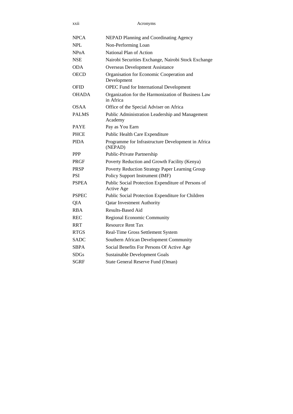xxii Acronyms

| <b>NPCA</b>  | <b>NEPAD Planning and Coordinating Agency</b>                    |
|--------------|------------------------------------------------------------------|
| <b>NPL</b>   | Non-Performing Loan                                              |
| NPoA         | National Plan of Action                                          |
| <b>NSE</b>   | Nairobi Securities Exchange, Nairobi Stock Exchange              |
| <b>ODA</b>   | <b>Overseas Development Assistance</b>                           |
| <b>OECD</b>  | Organisation for Economic Cooperation and<br>Development         |
| OFID         | <b>OPEC Fund for International Development</b>                   |
| <b>OHADA</b> | Organization for the Harmonization of Business Law<br>in Africa  |
| <b>OSAA</b>  | Office of the Special Adviser on Africa                          |
| <b>PALMS</b> | Public Administration Leadership and Management<br>Academy       |
| <b>PAYE</b>  | Pay as You Earn                                                  |
| <b>PHCE</b>  | Public Health Care Expenditure                                   |
| <b>PIDA</b>  | Programme for Infrastructure Development in Africa<br>(NEPAD)    |
| <b>PPP</b>   | Public-Private Partnership                                       |
| <b>PRGF</b>  | Poverty Reduction and Growth Facility (Kenya)                    |
| <b>PRSP</b>  | Poverty Reduction Strategy Paper Learning Group                  |
| <b>PSI</b>   | Policy Support Instrument (IMF)                                  |
| <b>PSPEA</b> | Public Social Protection Expenditure of Persons of<br>Active Age |
| <b>PSPEC</b> | Public Social Protection Expenditure for Children                |
| QIA          | <b>Qatar Investment Authority</b>                                |
| <b>RBA</b>   | Results-Based Aid                                                |
| <b>REC</b>   | Regional Economic Community                                      |
| <b>RRT</b>   | <b>Resource Rent Tax</b>                                         |
| <b>RTGS</b>  | Real-Time Gross Settlement System                                |
| <b>SADC</b>  | Southern African Development Community                           |
| <b>SBPA</b>  | Social Benefits For Persons Of Active Age                        |
| SDGs         | <b>Sustainable Development Goals</b>                             |
| <b>SGRF</b>  | State General Reserve Fund (Oman)                                |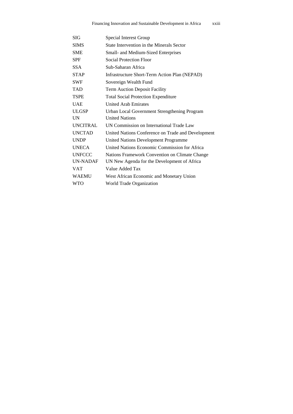| SIG             | Special Interest Group                             |
|-----------------|----------------------------------------------------|
| <b>SIMS</b>     | State Intervention in the Minerals Sector          |
| <b>SME</b>      | Small- and Medium-Sized Enterprises                |
| <b>SPF</b>      | <b>Social Protection Floor</b>                     |
| <b>SSA</b>      | Sub-Saharan Africa                                 |
| <b>STAP</b>     | Infrastructure Short-Term Action Plan (NEPAD)      |
| <b>SWF</b>      | Sovereign Wealth Fund                              |
| <b>TAD</b>      | <b>Term Auction Deposit Facility</b>               |
| <b>TSPE</b>     | <b>Total Social Protection Expenditure</b>         |
| <b>UAE</b>      | <b>United Arab Emirates</b>                        |
| <b>ULGSP</b>    | Urban Local Government Strengthening Program       |
| <b>UN</b>       | <b>United Nations</b>                              |
| <b>UNCITRAL</b> | UN Commission on International Trade Law           |
| <b>UNCTAD</b>   | United Nations Conference on Trade and Development |
| <b>UNDP</b>     | United Nations Development Programme               |
| <b>UNECA</b>    | United Nations Economic Commission for Africa      |
| <b>UNFCCC</b>   | Nations Framework Convention on Climate Change     |
| <b>UN-NADAF</b> | UN New Agenda for the Development of Africa        |
| <b>VAT</b>      | Value Added Tax                                    |
| <b>WAEMU</b>    | West African Economic and Monetary Union           |
| <b>WTO</b>      | World Trade Organization                           |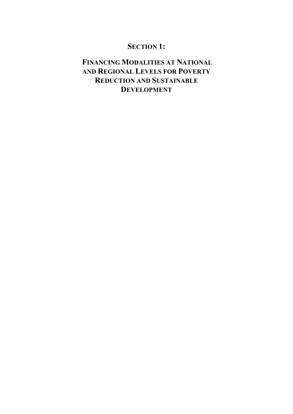## **SECTION 1:**

# **FINANCING MODALITIES AT NATIONAL AND REGIONAL LEVELS FOR POVERTY REDUCTION AND SUSTAINABLE DEVELOPMENT**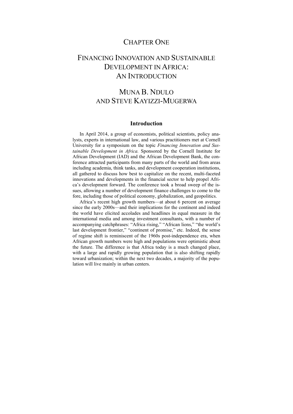#### CHAPTER ONE

## FINANCING INNOVATION AND SUSTAINABLE DEVELOPMENT IN AFRICA: AN INTRODUCTION

## MUNA B. NDULO AND STEVE KAYIZZI-MUGERWA

#### **Introduction**

In April 2014, a group of economists, political scientists, policy analysts, experts in international law, and various practitioners met at Cornell University for a symposium on the topic *Financing Innovation and Sustainable Development in Africa.* Sponsored by the Cornell Institute for African Development (IAD) and the African Development Bank, the conference attracted participants from many parts of the world and from areas including academia, think tanks, and development cooperation institutions, all gathered to discuss how best to capitalize on the recent, multi-faceted innovations and developments in the financial sector to help propel Africa's development forward. The conference took a broad sweep of the issues, allowing a number of development finance challenges to come to the fore, including those of political economy, globalization, and geopolitics.

Africa's recent high growth numbers—at about 6 percent on average since the early 2000s—and their implications for the continent and indeed the world have elicited accolades and headlines in equal measure in the international media and among investment consultants, with a number of accompanying catchphrases: "Africa rising," "African lions," "the world's last development frontier," "continent of promise," etc. Indeed, the sense of regime shift is reminiscent of the 1960s post-independence era, when African growth numbers were high and populations were optimistic about the future. The difference is that Africa today is a much changed place, with a large and rapidly growing population that is also shifting rapidly toward urbanization; within the next two decades, a majority of the population will live mainly in urban centers.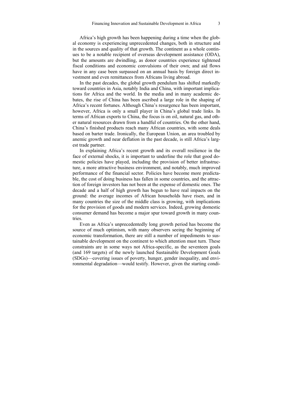Africa's high growth has been happening during a time when the global economy is experiencing unprecedented changes, both in structure and in the sources and quality of that growth. The continent as a whole continues to be a notable recipient of overseas development assistance (ODA), but the amounts are dwindling, as donor countries experience tightened fiscal conditions and economic convulsions of their own; and aid flows have in any case been surpassed on an annual basis by foreign direct investment and even remittances from Africans living abroad.

In the past decades, the global growth pendulum has shifted markedly toward countries in Asia, notably India and China, with important implications for Africa and the world. In the media and in many academic debates, the rise of China has been ascribed a large role in the shaping of Africa's recent fortunes. Although China's resurgence has been important, however, Africa is only a small player in China's global trade links. In terms of African exports to China, the focus is on oil, natural gas, and other natural resources drawn from a handful of countries. On the other hand, China's finished products reach many African countries, with some deals based on barter trade. Ironically, the European Union, an area troubled by anemic growth and near deflation in the past decade, is still Africa's largest trade partner.

In explaining Africa's recent growth and its overall resilience in the face of external shocks, it is important to underline the role that good domestic policies have played, including the provision of better infrastructure, a more attractive business environment, and notably, much improved performance of the financial sector. Policies have become more predictable, the cost of doing business has fallen in some countries, and the attraction of foreign investors has not been at the expense of domestic ones. The decade and a half of high growth has begun to have real impacts on the ground: the average incomes of African households have risen, and in many countries the size of the middle class is growing, with implications for the provision of goods and modern services. Indeed, growing domestic consumer demand has become a major spur toward growth in many countries.

Even as Africa's unprecedentedly long growth period has become the source of much optimism, with many observers seeing the beginning of economic transformation, there are still a number of impediments to sustainable development on the continent to which attention must turn. These constraints are in some ways not Africa-specific, as the seventeen goals (and 169 targets) of the newly launched Sustainable Development Goals (SDGs)—covering issues of poverty, hunger, gender inequality, and environmental degradation—would testify. However, given the starting condi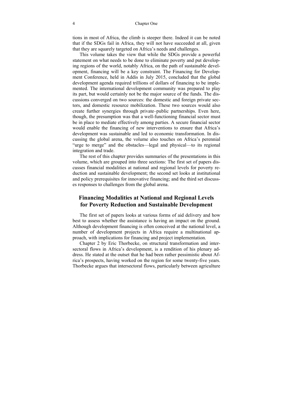tions in most of Africa, the climb is steeper there. Indeed it can be noted that if the SDGs fail in Africa, they will not have succeeded at all, given that they are squarely targeted on Africa's needs and challenges.

This volume takes the view that while the SDGs provide a powerful statement on what needs to be done to eliminate poverty and put developing regions of the world, notably Africa, on the path of sustainable development, financing will be a key constraint. The Financing for Development Conference, held in Addis in July 2015, concluded that the global development agenda required trillions of dollars of financing to be implemented. The international development community was prepared to play its part, but would certainly not be the major source of the funds. The discussions converged on two sources: the domestic and foreign private sectors, and domestic resource mobilization. These two sources would also create further synergies through private–public partnerships. Even here, though, the presumption was that a well-functioning financial sector must be in place to mediate effectively among parties. A secure financial sector would enable the financing of new interventions to ensure that Africa's development was sustainable and led to economic transformation. In discussing the global arena, the volume also touches on Africa's perennial "urge to merge" and the obstacles—legal and physical—to its regional integration and trade.

The rest of this chapter provides summaries of the presentations in this volume, which are grouped into three sections: The first set of papers discusses financial modalities at national and regional levels for poverty reduction and sustainable development; the second set looks at institutional and policy prerequisites for innovative financing; and the third set discusses responses to challenges from the global arena.

#### **Financing Modalities at National and Regional Levels for Poverty Reduction and Sustainable Development**

The first set of papers looks at various forms of aid delivery and how best to assess whether the assistance is having an impact on the ground. Although development financing is often conceived at the national level, a number of development projects in Africa require a multinational approach, with implications for financing and project implementation.

Chapter 2 by Eric Thorbecke, on structural transformation and intersectoral flows in Africa's development, is a rendition of his plenary address. He stated at the outset that he had been rather pessimistic about Africa's prospects, having worked on the region for some twenty-five years. Thorbecke argues that intersectoral flows, particularly between agriculture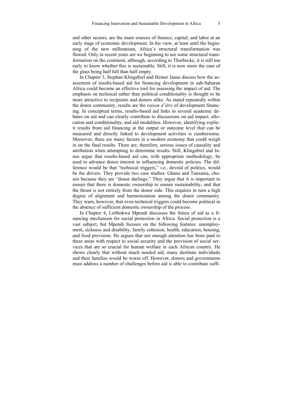and other sectors, are the main sources of finance, capital, and labor at an early stage of economic development. In his view, at least until the beginning of the new millennium, Africa's structural transformation was flawed. Only in recent years are we beginning to see some structural transformation on the continent, although, according to Thorbecke, it is still too early to know whether this is sustainable. Still, it is now more the case of the glass being half full than half empty.

In Chapter 3, Stephan Klingebiel and Heiner Janus discuss how the assessment of results-based aid for financing development in sub-Saharan Africa could become an effective tool for assessing the impact of aid. The emphasis on technical rather than political conditionality is thought to be more attractive to recipients and donors alike. As stated repeatedly within the donor community, results are the *raison d'être* of development financing. In conceptual terms, results-based aid links to several academic debates on aid and can clearly contribute to discussions on aid impact, allocation and conditionality, and aid modalities. However, identifying explicit results from aid financing at the output or outcome level that can be measured and directly linked to development activities is cumbersome. Moreover, there are many factors in a modern economy that could weigh in on the final results. There are, therefore, serious issues of causality and attribution when attempting to determine results. Still, Klingebiel and Janus argue that results-based aid can, with appropriate methodology, be used to advance donor interest in influencing domestic policies. The difference would be that "technical triggers," i.e., devoid of politics, would be the drivers. They provide two case studies: Ghana and Tanzania, chosen because they are "donor darlings." They argue that it is important to ensure that there is domestic ownership to ensure sustainability, and that the thrust is not entirely from the donor side. This requires in turn a high degree of alignment and harmonization among the donor community. They warn, however, that even technical triggers could become political in the absence of sufficient domestic ownership of the process.

In Chapter 4, Letlhokwa Mpendi discusses the future of aid as a financing mechanism for social protection in Africa. Social protection is a vast subject, but Mpendi focuses on the following features: unemployment, sickness and disability, family cohesion, health, education, housing, and food provision. He argues that not enough attention has been paid to these areas with respect to social security and the provision of social services that are so crucial for human welfare in each African country. He shows clearly that without much needed aid, many destitute individuals and their families would be worse off. However, donors and governments must address a number of challenges before aid is able to contribute suffi